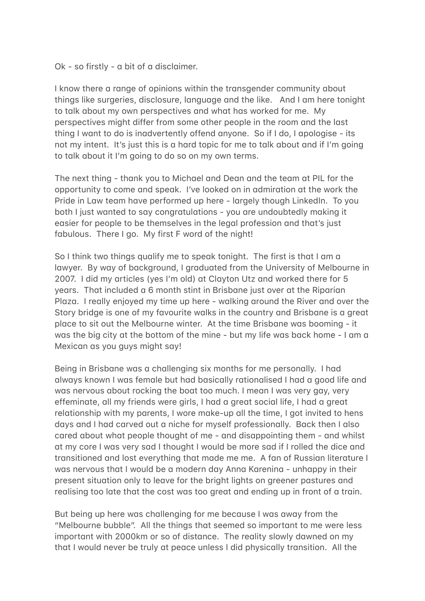$Ok - so$  firstly - a bit of a disclaimer.

I know there a range of opinions within the transgender community about things like surgeries, disclosure, language and the like. And I am here tonight to talk about my own perspectives and what has worked for me. My perspectives might differ from some other people in the room and the last thing I want to do is inadvertently offend anyone. So if I do, I apologise - its not my intent. It's just this is a hard topic for me to talk about and if I'm going to talk about it I'm going to do so on my own terms.

The next thing - thank you to Michael and Dean and the team at PIL for the opportunity to come and speak. I've looked on in admiration at the work the Pride in Law team have performed up here - largely though LinkedIn. To you both I just wanted to say congratulations - you are undoubtedly making it easier for people to be themselves in the legal profession and that's just fabulous. There I go. My first F word of the night!

So I think two things qualify me to speak tonight. The first is that I am a lawyer. By way of background, I graduated from the University of Melbourne in 2007. I did my articles (yes I'm old) at Clayton Utz and worked there for 5 years. That included a 6 month stint in Brisbane just over at the Riparian Plaza. I really enjoyed my time up here - walking around the River and over the Story bridge is one of my favourite walks in the country and Brisbane is a great place to sit out the Melbourne winter. At the time Brisbane was booming - it was the big city at the bottom of the mine - but my life was back home - I am a Mexican as you guys might say!

Being in Brisbane was a challenging six months for me personally. I had always known I was female but had basically rationalised I had a good life and was nervous about rocking the boat too much. I mean I was very gay, very effeminate, all my friends were girls, I had a great social life, I had a great relationship with my parents, I wore make-up all the time, I got invited to hens days and I had carved out a niche for myself professionally. Back then I also cared about what people thought of me - and disappointing them - and whilst at my core I was very sad I thought I would be more sad if I rolled the dice and transitioned and lost everything that made me me. A fan of Russian literature I was nervous that I would be a modern day Anna Karenina - unhappy in their present situation only to leave for the bright lights on greener pastures and realising too late that the cost was too great and ending up in front of a train.

But being up here was challenging for me because I was away from the "Melbourne bubble". All the things that seemed so important to me were less important with 2000km or so of distance. The reality slowly dawned on my that I would never be truly at peace unless I did physically transition. All the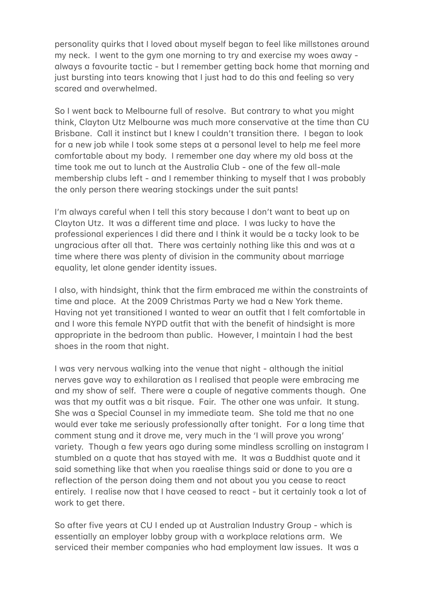personality quirks that I loved about myself began to feel like millstones around my neck. I went to the gym one morning to try and exercise my woes away always a favourite tactic - but I remember getting back home that morning and just bursting into tears knowing that I just had to do this and feeling so very scared and overwhelmed.

So I went back to Melbourne full of resolve. But contrary to what you might think, Clayton Utz Melbourne was much more conservative at the time than CU Brisbane. Call it instinct but I knew I couldn't transition there. I began to look for a new job while I took some steps at a personal level to help me feel more comfortable about my body. I remember one day where my old boss at the time took me out to lunch at the Australia Club - one of the few all-male membership clubs left - and I remember thinking to myself that I was probably the only person there wearing stockings under the suit pants!

I'm always careful when I tell this story because I don't want to beat up on Clayton Utz. It was a different time and place. I was lucky to have the professional experiences I did there and I think it would be a tacky look to be ungracious after all that. There was certainly nothing like this and was at a time where there was plenty of division in the community about marriage equality, let alone gender identity issues.

I also, with hindsight, think that the firm embraced me within the constraints of time and place. At the 2009 Christmas Party we had a New York theme. Having not yet transitioned I wanted to wear an outfit that I felt comfortable in and I wore this female NYPD outfit that with the benefit of hindsight is more appropriate in the bedroom than public. However, I maintain I had the best shoes in the room that night.

I was very nervous walking into the venue that night - although the initial nerves gave way to exhilaration as I realised that people were embracing me and my show of self. There were a couple of negative comments though. One was that my outfit was a bit risque. Fair. The other one was unfair. It stung. She was a Special Counsel in my immediate team. She told me that no one would ever take me seriously professionally after tonight. For a long time that comment stung and it drove me, very much in the 'I will prove you wrong' variety. Though a few years ago during some mindless scrolling on instagram I stumbled on a quote that has staved with me. It was a Buddhist quote and it said something like that when you raealise things said or done to you are a reflection of the person doing them and not about you you cease to react entirely. I realise now that I have ceased to react - but it certainly took a lot of work to get there.

So after five years at CU I ended up at Australian Industry Group - which is essentially an employer lobby group with a workplace relations arm. We serviced their member companies who had employment law issues. It was a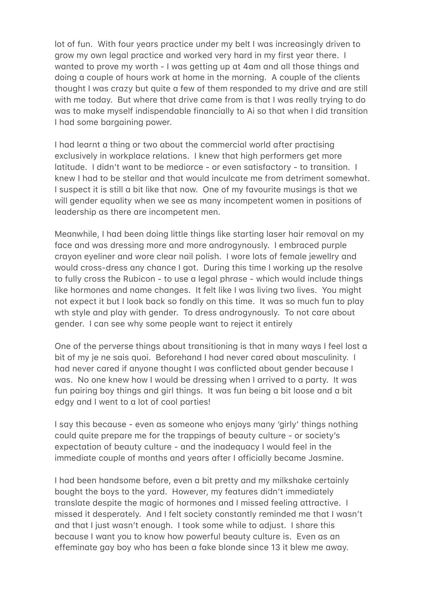lot of fun. With four years practice under my belt I was increasingly driven to grow my own legal practice and worked very hard in my first year there. I wanted to prove my worth - I was getting up at 4am and all those things and doing a couple of hours work at home in the morning. A couple of the clients thought I was crazy but quite a few of them responded to my drive and are still with me today. But where that drive came from is that I was really trying to do was to make myself indispendable financially to Ai so that when I did transition I had some bargaining power.

I had learnt a thing or two about the commercial world after practising exclusively in workplace relations. I knew that high performers get more latitude. I didn't want to be mediorce - or even satisfactory - to transition. I knew I had to be stellar and that would inculcate me from detriment somewhat. I suspect it is still a bit like that now. One of my favourite musings is that we will gender equality when we see as many incompetent women in positions of leadership as there are incompetent men.

Meanwhile, I had been doing little things like starting laser hair removal on my face and was dressing more and more androgynously. I embraced purple crayon eyeliner and wore clear nail polish. I wore lots of female jewellry and would cross-dress any chance I got. During this time I working up the resolve to fully cross the Rubicon - to use a legal phrase - which would include things like hormones and name changes. It felt like I was living two lives. You might not expect it but I look back so fondly on this time. It was so much fun to play wth style and play with gender. To dress androgynously. To not care about gender. I can see why some people want to reject it entirely

One of the perverse things about transitioning is that in many ways I feel lost a bit of my je ne sais quoi. Beforehand I had never cared about masculinity. I had never cared if anyone thought I was conflicted about gender because I was. No one knew how I would be dressing when I arrived to a party. It was fun pairing boy things and girl things. It was fun being a bit loose and a bit edgy and I went to a lot of cool parties!

I say this because - even as someone who enjoys many 'girly' things nothing could quite prepare me for the trappings of beauty culture - or society's expectation of beauty culture - and the inadequacy I would feel in the immediate couple of months and years after I officially became Jasmine.

I had been handsome before, even a bit pretty and my milkshake certainly bought the boys to the yard. However, my features didn't immediately translate despite the magic of hormones and I missed feeling attractive. I missed it desperately. And I felt society constantly reminded me that I wasn't and that I just wasn't enough. I took some while to adjust. I share this because I want you to know how powerful beauty culture is. Even as an effeminate gay boy who has been a fake blonde since 13 it blew me away.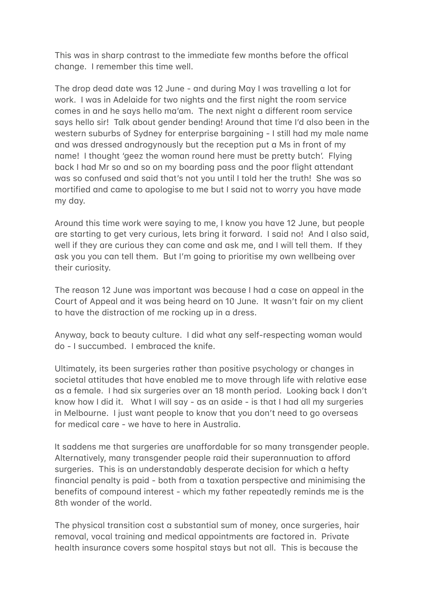This was in sharp contrast to the immediate few months before the offical change. I remember this time well.

The drop dead date was 12 June - and during May I was travelling a lot for work. I was in Adelaide for two nights and the first night the room service comes in and he says hello ma'am. The next night a different room service says hello sir! Talk about gender bending! Around that time I'd also been in the western suburbs of Sydney for enterprise bargaining - I still had my male name and was dressed androgynously but the reception put a Ms in front of my name! I thought 'geez the woman round here must be pretty butch'. Flying back I had Mr so and so on my boarding pass and the poor flight attendant was so confused and said that's not you until I told her the truth! She was so mortified and came to apologise to me but I said not to worry you have made mv dav.

Around this time work were saving to me, I know you have 12 June, but people are starting to get very curious, lets bring it forward. I said no! And I also said, well if they are curious they can come and ask me, and I will tell them. If they ask you you can tell them. But I'm going to prioritise my own wellbeing over their curiosity.

The reason 12 June was important was because I had a case on appeal in the Court of Appeal and it was being heard on 10 June. It wasn't fair on my client to have the distraction of me rocking up in a dress.

Anyway, back to beauty culture. I did what any self-respecting woman would do - I succumbed. I embraced the knife.

Ultimately, its been surgeries rather than positive psychology or changes in societal attitudes that have enabled me to move through life with relative ease as a female. I had six surgeries over an 18 month period. Looking back I don't know how I did it. What I will say - as an aside - is that I had all my surgeries in Melbourne. I just want people to know that you don't need to go overseas for medical care - we have to here in Australia.

It saddens me that surgeries are unaffordable for so many transgender people. Alternatively, many transgender people raid their superannuation to afford surgeries. This is an understandably desperate decision for which a hefty financial penalty is paid - both from a taxation perspective and minimising the benefits of compound interest - which my father repeatedly reminds me is the 8th wonder of the world.

The physical transition cost a substantial sum of money, once surgeries, hair removal, vocal training and medical appointments are factored in. Private health insurance covers some hospital stays but not all. This is because the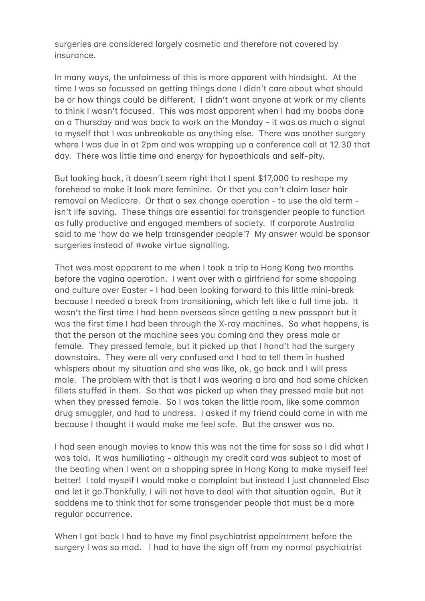surgeries are considered largely cosmetic and therefore not covered by insurance.

In many ways, the unfairness of this is more apparent with hindsight. At the time I was so focussed on getting things done I didn't care about what should be or how things could be different. I didn't want anyone at work or my clients to think I wasn't focused. This was most apparent when I had my boobs done on a Thursday and was back to work on the Monday - it was as much a signal to myself that I was unbreakable as anything else. There was another surgery where I was due in at 2pm and was wrapping up a conference call at 12.30 that day. There was little time and energy for hypoethicals and self-pity.

But looking back, it doesn't seem right that I spent \$17,000 to reshape my forehead to make it look more feminine. Or that you can't claim laser hair removal on Medicare. Or that a sex change operation - to use the old term isn't life saving. These things are essential for transgender people to function as fully productive and engaged members of society. If corporate Australia said to me 'how do we help transgender people'? My answer would be sponsor surgeries instead of #woke virtue signalling.

That was most apparent to me when I took a trip to Hong Kong two months before the vagina operation. I went over with a girlfriend for some shopping and culture over Easter - I had been looking forward to this little mini-break because I needed a break from transitioning, which felt like a full time job. It wasn't the first time I had been overseas since getting a new passport but it was the first time I had been through the X-ray machines. So what happens, is that the person at the machine sees you coming and they press male or female. They pressed female, but it picked up that I hand't had the surgery downstairs. They were all very confused and I had to tell them in hushed whispers about my situation and she was like, ok, go back and I will press male. The problem with that is that I was wearing a bra and had some chicken fillets stuffed in them. So that was picked up when they pressed male but not when they pressed female. So I was taken the little room, like some common drug smuggler, and had to undress. I asked if my friend could come in with me because I thought it would make me feel safe. But the answer was no.

I had seen enough movies to know this was not the time for sass so I did what I was told. It was humiliating - although my credit card was subject to most of the beating when I went on a shopping spree in Hong Kong to make myself feel better! I told myself I would make a complaint but instead I just channeled Elsa and let it go.Thankfully, I will not have to deal with that situation again. But it saddens me to think that for some transgender people that must be a more regular occurrence.

When I got back I had to have my final psychiatrist appointment before the surgery I was so mad. I had to have the sign off from my normal psychiatrist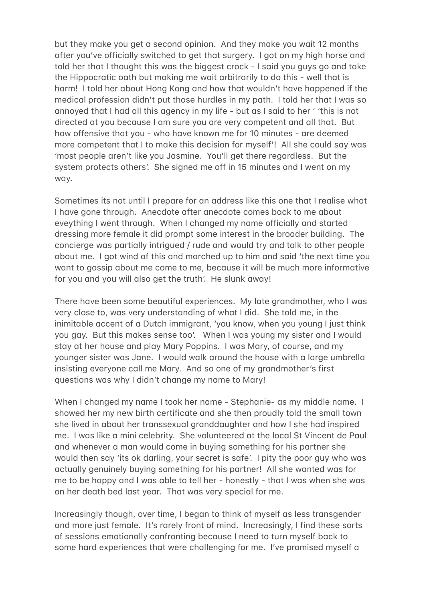but they make you get a second opinion. And they make you wait 12 months after you've officially switched to get that surgery. I got on my high horse and told her that I thought this was the biggest crock - I said you guys go and take the Hippocratic oath but making me wait arbitrarily to do this - well that is harm! I told her about Hong Kong and how that wouldn't have happened if the medical profession didn't put those hurdles in my path. I told her that I was so annoyed that I had all this agency in my life - but as I said to her ' 'this is not directed at you because I am sure you are very competent and all that. But how offensive that you - who have known me for 10 minutes - are deemed more competent that I to make this decision for myself'! All she could say was 'most people aren't like you Jasmine. You'll get there regardless. But the system protects others'. She signed me off in 15 minutes and I went on my way.

Sometimes its not until I prepare for an address like this one that I realise what I have gone through. Anecdote after anecdote comes back to me about eveything I went through. When I changed my name officially and started dressing more female it did prompt some interest in the broader building. The concierge was partially intrigued / rude and would try and talk to other people about me. I got wind of this and marched up to him and said 'the next time you want to gossip about me come to me, because it will be much more informative for you and you will also get the truth'. He slunk away!

There have been some beautiful experiences. My late grandmother, who I was very close to, was very understanding of what I did. She told me, in the inimitable accent of a Dutch immigrant, 'you know, when you young I just think you gay. But this makes sense too'. When I was young my sister and I would stay at her house and play Mary Poppins. I was Mary, of course, and my younger sister was Jane. I would walk around the house with a large umbrella insisting everyone call me Mary. And so one of my grandmother's first questions was why I didn't change my name to Mary!

When I changed my name I took her name - Stephanie- as my middle name. I showed her my new birth certificate and she then proudly told the small town she lived in about her transsexual granddaughter and how I she had inspired me. I was like a mini celebrity. She volunteered at the local St Vincent de Paul and whenever a man would come in buying something for his partner she would then say 'its ok darling, your secret is safe'. I pity the poor guy who was actually genuinely buying something for his partner! All she wanted was for me to be happy and I was able to tell her - honestly - that I was when she was on her death bed last year. That was very special for me.

Increasingly though, over time, I began to think of myself as less transgender and more just female. It's rarely front of mind. Increasingly, I find these sorts of sessions emotionally confronting because I need to turn myself back to some hard experiences that were challenging for me. I've promised myself a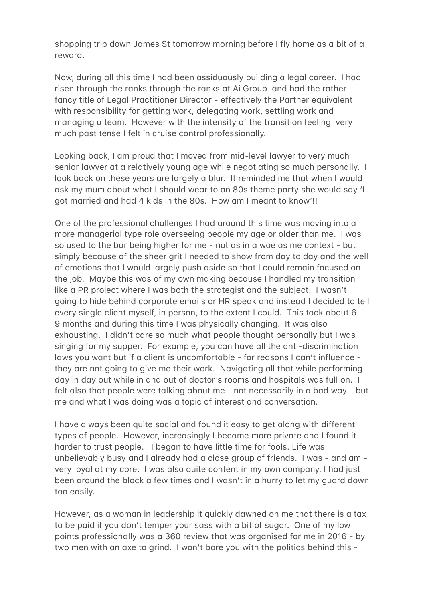shopping trip down James St tomorrow morning before I fly home as a bit of a reward.

Now, during all this time I had been assiduously building a legal career. I had risen through the ranks through the ranks at Ai Group and had the rather fancy title of Legal Practitioner Director - effectively the Partner equivalent with responsibility for getting work, delegating work, settling work and managing a team. However with the intensity of the transition feeling very much past tense I felt in cruise control professionally.

Looking back, I am proud that I moved from mid-level lawyer to very much senior lawyer at a relatively young age while negotiating so much personally. I look back on these years are largely a blur. It reminded me that when I would ask my mum about what I should wear to an 80s theme party she would say 'I got married and had 4 kids in the 80s. How am I meant to know'!!

One of the professional challenges I had around this time was moving into a more managerial type role overseeing people my age or older than me. I was so used to the bar being higher for me - not as in a woe as me context - but simply because of the sheer grit I needed to show from day to day and the well of emotions that I would largely push aside so that I could remain focused on the job. Maybe this was of my own making because I handled my transition like a PR project where I was both the strategist and the subject. I wasn't going to hide behind corporate emails or HR speak and instead I decided to tell every single client myself, in person, to the extent I could. This took about  $6 -$ 9 months and during this time I was physically changing. It was also exhausting. I didn't care so much what people thought personally but I was singing for my supper. For example, you can have all the anti-discrimination laws you want but if a client is uncomfortable - for reasons I can't influence they are not going to give me their work. Navigating all that while performing day in day out while in and out of doctor's rooms and hospitals was full on. I felt also that people were talking about me - not necessarily in a bad way - but me and what I was doing was a topic of interest and conversation.

I have always been quite social and found it easy to get along with different types of people. However, increasingly I became more private and I found it harder to trust people. I began to have little time for fools. Life was unbelievably busy and I already had a close group of friends. I was - and am very loyal at my core. I was also quite content in my own company. I had just been around the block a few times and I wasn't in a hurry to let my quard down too easily.

However, as a woman in leadership it quickly dawned on me that there is a tax to be paid if you don't temper your sass with a bit of sugar. One of my low points professionally was a 360 review that was organised for me in 2016 - by two men with an axe to grind. I won't bore you with the politics behind this -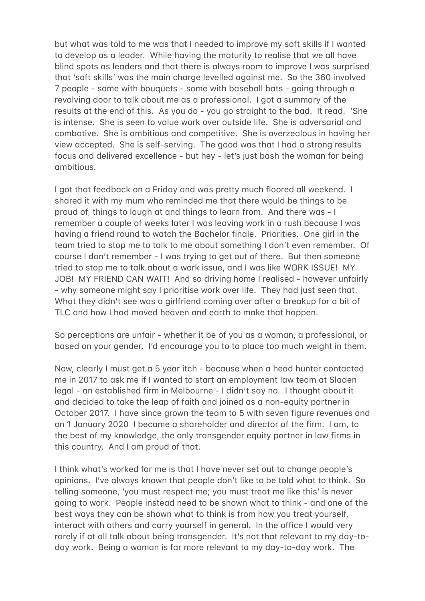but what was told to me was that I needed to improve my soft skills if I wanted to develop as a leader. While having the maturity to realise that we all have blind spots as leaders and that there is always room to improve I was surprised that 'soft skills' was the main charae levelled against me. So the 360 involved 7 people - some with bouquets - some with baseball bats - going through a revolving door to talk about me as a professional. I got a summary of the results at the end of this. As you do - you go straight to the bad. It read. 'She is intense. She is seen to value work over outside life. She is adversarial and combative. She is ambitious and competitive. She is overzealous in having her view accepted. She is self-serving. The good was that I had a strong results focus and delivered excellence - but hey - let's just bash the woman for being -mbitious.

I got that feedback on a Friday and was pretty much floored all weekend. I shared it with my mum who reminded me that there would be things to be proud of, things to laugh at and things to learn from. And there was - I remember a couple of weeks later I was leavina work in a rush because I was having a friend round to watch the Bachelor finale. Priorities. One girl in the team tried to stop me to talk to me about something I don't even remember. Of course I don't remember - I was trying to get out of there. But then someone tried to stop me to talk about a work issue, and I was like WORK ISSUE! MY JOB! MY FRIEND CAN WAIT! And so driving home I realised - however unfairly - why someone might say I prioritise work over life. They had just seen that. What they didn't see was a girlfriend coming over after a breakup for a bit of TLC and how I had moved heaven and earth to make that happen.

So perceptions are unfair - whether it be of you as a woman, a professional, or based on your gender. I'd encourage you to to place too much weight in them.

Now, clearly I must get a 5 year itch - because when a head hunter contacted me in 2017 to ask me if I wanted to start an employment law team at Sladen legal - an established firm in Melbourne - I didn't say no. I thought about it and decided to take the leap of faith and joined as a non-equity partner in October 2017. I have since grown the team to 5 with seven figure revenues and on 1 January 2020 I became a shareholder and director of the firm. I am, to the best of my knowledge, the only transgender equity partner in law firms in this country. And I am proud of that.

I think what's worked for me is that I have never set out to change people's opinions. I've always known that people don't like to be told what to think. So telling someone, 'you must respect me; you must treat me like this' is never going to work. People instead need to be shown what to think - and one of the best ways they can be shown what to think is from how you treat yourself, interact with others and carry yourself in general. In the office I would very rarely if at all talk about being transgender. It's not that relevant to my day-today work. Being a woman is far more relevant to my day-to-day work. The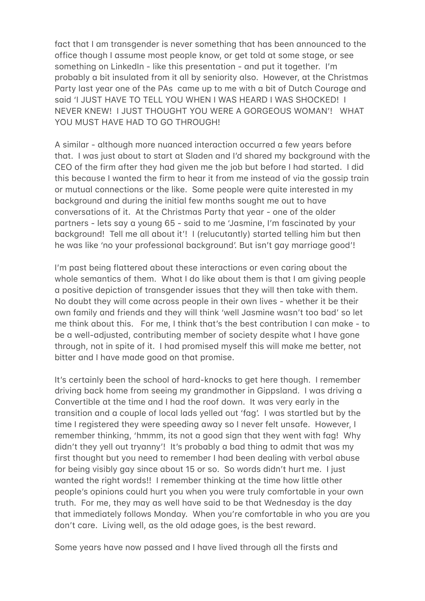fact that I am transgender is never something that has been announced to the office though I assume most people know, or get told at some stage, or see something on LinkedIn - like this presentation - and put it together. I'm probably a bit insulated from it all by seniority also. However, at the Christmas Party last year one of the PAs came up to me with a bit of Dutch Courage and said 'I JUST HAVE TO TELL YOU WHEN I WAS HEARD I WAS SHOCKED! I NEVER KNEW! I JUST THOUGHT YOU WERE A GORGEOUS WOMAN'! WHAT YOU MUST HAVE HAD TO GO THROUGH!

A similar - although more nuanced interaction occurred a few years before that. I was just about to start at Sladen and I'd shared my background with the CEO of the firm after they had given me the job but before I had started. I did this because I wanted the firm to hear it from me instead of via the gossip train or mutual connections or the like. Some people were quite interested in my background and during the initial few months sought me out to have conversations of it. At the Christmas Party that year - one of the older partners - lets say a young 65 - said to me 'Jasmine, I'm fascinated by your background! Tell me all about it'! I (relucutantly) started telling him but then he was like 'no your professional background'. But isn't gay marriage good'!

I'm past being flattered about these interactions or even caring about the whole semantics of them. What I do like about them is that I am giving people a positive depiction of transgender issues that they will then take with them. No doubt they will come across people in their own lives - whether it be their own family and friends and they will think 'well Jasmine wasn't too bad' so let me think about this. For me, I think that's the best contribution I can make - to be a well-adjusted, contributing member of society despite what I have gone through, not in spite of it. I had promised myself this will make me better, not bitter and I have made good on that promise.

It's certainly been the school of hard-knocks to get here though. I remember driving back home from seeing my grandmother in Gippsland. I was driving a Convertible at the time and I had the roof down. It was very early in the transition and a couple of local lads yelled out 'fag'. I was startled but by the time I registered they were speeding away so I never felt unsafe. However, I remember thinking, 'hmmm, its not a good sign that they went with fag! Why didn't they yell out tryanny'! It's probably a bad thing to admit that was my first thought but you need to remember I had been dealing with verbal abuse for being visibly gay since about 15 or so. So words didn't hurt me. I just wanted the right words!! I remember thinking at the time how little other people's opinions could hurt you when you were truly comfortable in your own truth. For me, they may as well have said to be that Wednesday is the day that immediately follows Monday. When you're comfortable in who you are you don't care. Living well, as the old adage goes, is the best reward.

Some years have now passed and I have lived through all the firsts and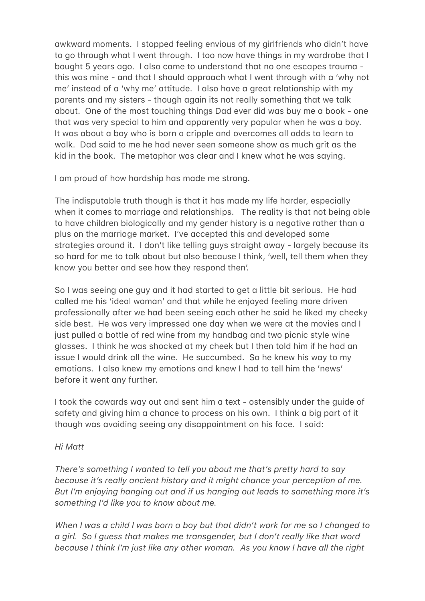awkward moments. I stopped feeling envious of my girlfriends who didn't have to go through what I went through. I too now have things in my wardrobe that I bought 5 years ago. I also came to understand that no one escapes trauma this was mine - and that I should approach what I went through with a 'why not me' instead of a 'why me' attitude. I also have a great relationship with my parents and my sisters - though again its not really something that we talk about. One of the most touching things Dad ever did was buy me a book - one that was very special to him and apparently very popular when he was a boy. It was about a boy who is born a cripple and overcomes all odds to learn to walk. Dad said to me he had never seen someone show as much grit as the kid in the book. The metaphor was clear and I knew what he was saying.

I am proud of how hardship has made me strong.

The indisputable truth though is that it has made my life harder, especially when it comes to marriage and relationships. The reality is that not being able to have children biologically and my gender history is a negative rather than a plus on the marriage market. I've accepted this and developed some strategies around it. I don't like telling guys straight away - largely because its so hard for me to talk about but also because I think, 'well, tell them when they know you better and see how they respond then'.

So I was seeing one guy and it had started to get a little bit serious. He had called me his 'ideal woman' and that while he enjoyed feeling more driven professionally after we had been seeing each other he said he liked my cheeky side best. He was very impressed one day when we were at the movies and I just pulled a bottle of red wine from my handbag and two picnic style wine glasses. I think he was shocked at my cheek but I then told him if he had an issue I would drink all the wine. He succumbed. So he knew his way to my emotions. I also knew my emotions and knew I had to tell him the 'news' before it went any further.

I took the cowards way out and sent him a text - ostensibly under the quide of safety and giving him a chance to process on his own. I think a big part of it though was avoiding seeing any disappointment on his face. I said:

## *Hi M%tt*

*There's something I wanted to tell you about me that's pretty hard to say because it's really ancient history and it might chance your perception of me.* But I'm enjoying hanging out and if us hanging out leads to something more it's something I'd like you to know about me.

*When I was a child I was born a boy but that didn't work for me so I changed to* a girl. So I guess that makes me transgender, but I don't really like that word *because I think I'm just like any other woman. As you know I have all the right*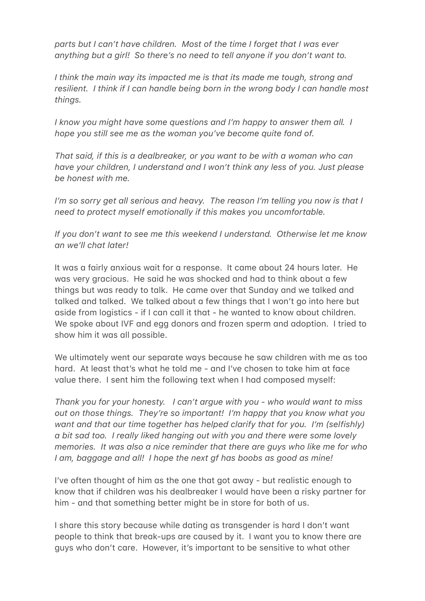*parts but I can't have children. Most of the time I forget that I was ever anything but a girl!* So there's no need to tell anyone if you don't want to.

*I think the main way its impacted me is that its made me tough, strong and resilient. I think if I can handle being born in the wrong body I can handle most things.*

*I know you might have some questions and I'm happy to answer them all. I hope you still see me as the woman you've become quite fond of.* 

*That said, if this is a dealbreaker, or you want to be with a woman who can have your children, I understand and I won't think any less of you. Just please be honest with me.* 

*I'm so sorry get all serious and heavy. The reason I'm telling you now is that I need to protect myself emotionally if this makes you uncomfortable.* 

If you don't want to see me this weekend I understand. Otherwise let me know an we'll chat later!

It was a fairly anxious wait for a response. It came about 24 hours later. He was very gracious. He said he was shocked and had to think about a few things but was ready to talk. He came over that Sunday and we talked and talked and talked. We talked about a few things that I won't go into here but aside from logistics - if I can call it that - he wanted to know about children. We spoke about IVF and egg donors and frozen sperm and adoption. I tried to show him it was all possible.

We ultimately went our separate ways because he saw children with me as too hard. At least that's what he told me - and I've chosen to take him at face value there. I sent him the following text when I had composed myself:

*Thank you for your honesty. I can't argue with you - who would want to miss out on those things. They're so important! I'm happy that you know what you want and that our time together has helped clarify that for you. I'm (selfishly)*  $\alpha$  bit sad too. I really liked hanging out with you and there were some lovely *memories. It was also a nice reminder that there are guys who like me for who I am, baggage and all! I hope the next af has boobs as good as mine!* 

I've often thought of him as the one that got away - but realistic enough to know that if children was his dealbreaker I would have been a risky partner for him - and that something better might be in store for both of us.

I share this story because while dating as transgender is hard I don't want people to think that break-ups are caused by it. I want you to know there are guys who don't care. However, it's important to be sensitive to what other